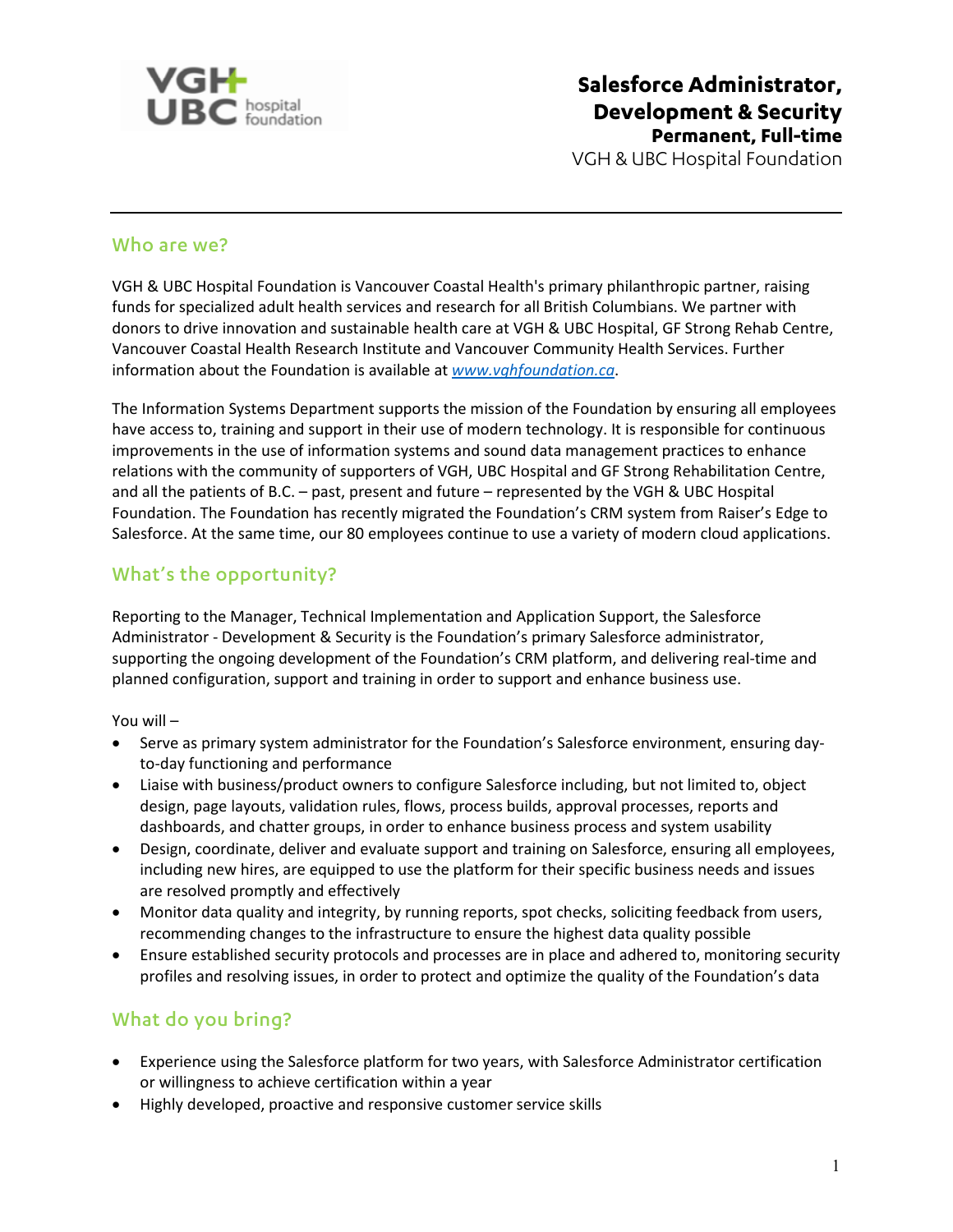

**Salesforce Administrator, Development & Security Permanent, Full-time** VGH & UBC Hospital Foundation

#### Who are we?

VGH & UBC Hospital Foundation is Vancouver Coastal Health's primary philanthropic partner, raising funds for specialized adult health services and research for all British Columbians. We partner with donors to drive innovation and sustainable health care at VGH & UBC Hospital, GF Strong Rehab Centre, Vancouver Coastal Health Research Institute and Vancouver Community Health Services. Further information about the Foundation is available at *[www.vghfoundation.ca](http://www.vghfoundation.ca/)*.

The Information Systems Department supports the mission of the Foundation by ensuring all employees have access to, training and support in their use of modern technology. It is responsible for continuous improvements in the use of information systems and sound data management practices to enhance relations with the community of supporters of VGH, UBC Hospital and GF Strong Rehabilitation Centre, and all the patients of B.C. – past, present and future – represented by the VGH & UBC Hospital Foundation. The Foundation has recently migrated the Foundation's CRM system from Raiser's Edge to Salesforce. At the same time, our 80 employees continue to use a variety of modern cloud applications.

#### What's the opportunity?

Reporting to the Manager, Technical Implementation and Application Support, the Salesforce Administrator - Development & Security is the Foundation's primary Salesforce administrator, supporting the ongoing development of the Foundation's CRM platform, and delivering real-time and planned configuration, support and training in order to support and enhance business use.

You will –

- Serve as primary system administrator for the Foundation's Salesforce environment, ensuring dayto-day functioning and performance
- Liaise with business/product owners to configure Salesforce including, but not limited to, object design, page layouts, validation rules, flows, process builds, approval processes, reports and dashboards, and chatter groups, in order to enhance business process and system usability
- Design, coordinate, deliver and evaluate support and training on Salesforce, ensuring all employees, including new hires, are equipped to use the platform for their specific business needs and issues are resolved promptly and effectively
- Monitor data quality and integrity, by running reports, spot checks, soliciting feedback from users, recommending changes to the infrastructure to ensure the highest data quality possible
- Ensure established security protocols and processes are in place and adhered to, monitoring security profiles and resolving issues, in order to protect and optimize the quality of the Foundation's data

# What do you bring?

- Experience using the Salesforce platform for two years, with Salesforce Administrator certification or willingness to achieve certification within a year
- Highly developed, proactive and responsive customer service skills